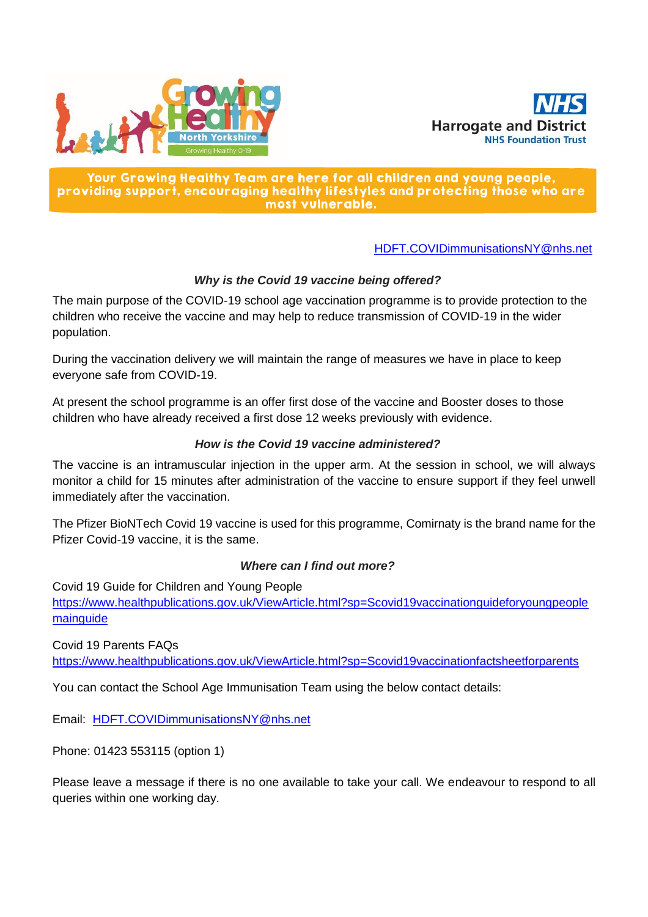



### Your Growing Healthy Team are here for all children and young people, providing support, encouraging healthy lifestyles and protecting those who are most vulnerable.

## [HDFT.COVIDimmunisationsNY@nhs.net](mailto:HDFT.COVIDimmunisationsNY@nhs.net)

# *Why is the Covid 19 vaccine being offered?*

The main purpose of the COVID-19 school age vaccination programme is to provide protection to the children who receive the vaccine and may help to reduce transmission of COVID-19 in the wider population.

During the vaccination delivery we will maintain the range of measures we have in place to keep everyone safe from COVID-19.

At present the school programme is an offer first dose of the vaccine and Booster doses to those children who have already received a first dose 12 weeks previously with evidence.

## *How is the Covid 19 vaccine administered?*

The vaccine is an intramuscular injection in the upper arm. At the session in school, we will always monitor a child for 15 minutes after administration of the vaccine to ensure support if they feel unwell immediately after the vaccination.

The Pfizer BioNTech Covid 19 vaccine is used for this programme, Comirnaty is the brand name for the Pfizer Covid-19 vaccine, it is the same.

## *Where can I find out more?*

Covid 19 Guide for Children and Young People [https://www.healthpublications.gov.uk/ViewArticle.html?sp=Scovid19vaccinationguideforyoungpeople](https://www.healthpublications.gov.uk/ViewArticle.html?sp=Scovid19vaccinationguideforyoungpeoplemainguide) [mainguide](https://www.healthpublications.gov.uk/ViewArticle.html?sp=Scovid19vaccinationguideforyoungpeoplemainguide)

Covid 19 Parents FAQs <https://www.healthpublications.gov.uk/ViewArticle.html?sp=Scovid19vaccinationfactsheetforparents>

You can contact the School Age Immunisation Team using the below contact details:

Email: [HDFT.COVIDimmunisationsNY@nhs.net](mailto:HDFT.COVIDimmunisationsNY@nhs.net)

Phone: 01423 553115 (option 1)

Please leave a message if there is no one available to take your call. We endeavour to respond to all queries within one working day.